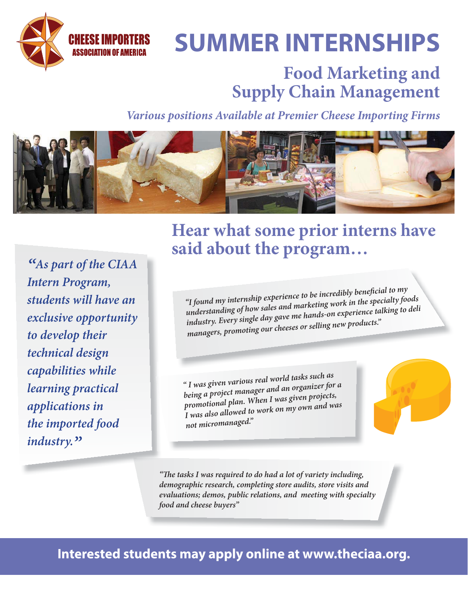

# **SUMMER INTERNSHIPS**

### **Food Marketing and Supply Chain Management**

*Various positions Available at Premier Cheese Importing Firms*



*"As part of the CIAA Intern Program, students will have an exclusive opportunity to develop their technical design capabilities while learning practical applications in the imported food industry."*

#### **Hear what some prior interns have said about the program…**

*"I found my internship experience to be incredibly benefi cial to my understanding of how sales and marketing work in the specialty foods industry. Every single day gave me hands-on experience talking to deli managers, promoting our cheeses or selling new products."*

*" I was given various real world tasks such as being a project manager and an organizer for a promotional plan. When I was given projects, I was also allowed to work on my own and was not micromanaged."*

"The tasks I was required to do had a lot of variety including, *demographic research, completing store audits, store visits and evaluations; demos, public relations, and meeting with specialty food and cheese buyers"*